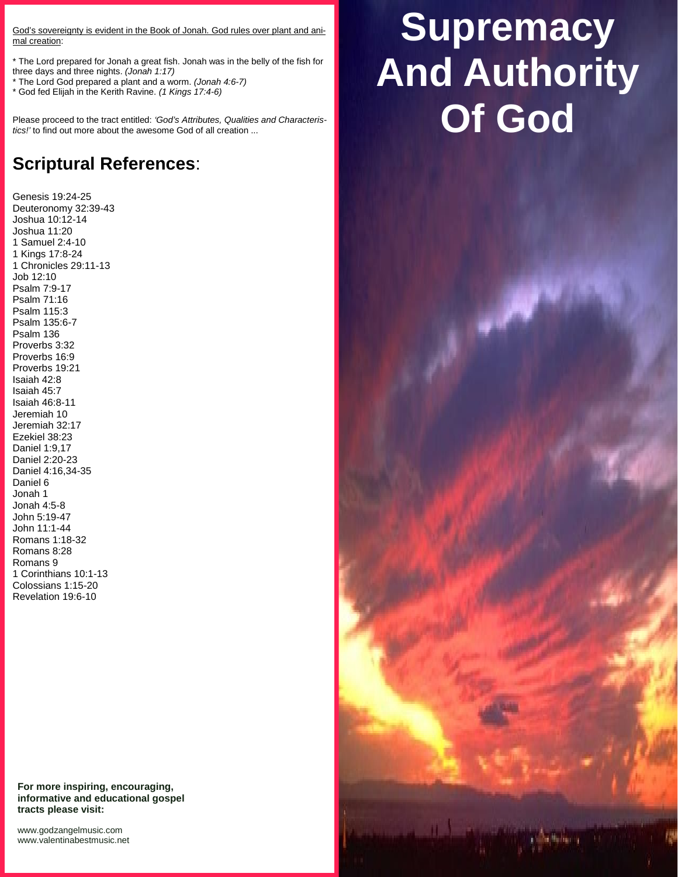God's sovereignty is evident in the Book of Jonah. God rules over plant and animal creation:

\* The Lord prepared for Jonah a great fish. Jonah was in the belly of the fish for three days and three nights. *(Jonah 1:17)*

\* The Lord God prepared a plant and a worm. *(Jonah 4:6-7)*

\* God fed Elijah in the Kerith Ravine. *(1 Kings 17:4-6)*

Please proceed to the tract entitled: *'God's Attributes, Qualities and Characteristics!'* to find out more about the awesome God of all creation ...

# **Scriptural References**:

Genesis 19:24-25 Deuteronomy 32:39-43 Joshua 10:12-14 Joshua 11:20 1 Samuel 2:4-10 1 Kings 17:8-24 1 Chronicles 29:11-13 Job 12:10 Psalm 7:9-17 Psalm 71:16 Psalm 115:3 Psalm 135:6-7 Psalm 136 Proverbs 3:32 Proverbs 16:9 Proverbs 19:21 Isaiah 42:8 Isaiah 45:7 Isaiah 46:8-11 Jeremiah 10 Jeremiah 32:17 Ezekiel 38:23 Daniel 1:9,17 Daniel 2:20-23 Daniel 4:16,34-35 Daniel 6 Jonah 1 Jonah 4:5-8 John 5:19-47 John 11:1-44 Romans 1:18-32 Romans 8:28 Romans 9 1 Corinthians 10:1-13 Colossians 1:15-20 Revelation 19:6-10

**For more inspiring, encouraging, informative and educational gospel tracts please visit:**

<www.godzangelmusic.com> <www.valentinabestmusic.net>

# **Supremacy And Authority Of God**